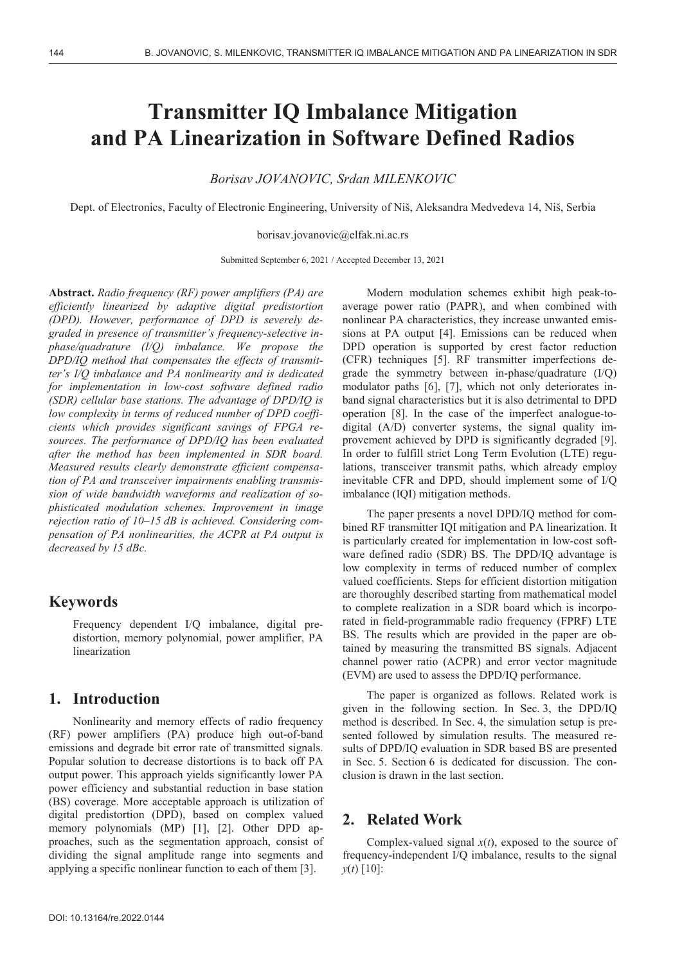# **Transmitter IQ Imbalance Mitigation and PA Linearization in Software Defined Radios**

*Borisav JOVANOVIC, Srdan MILENKOVIC* 

Dept. of Electronics, Faculty of Electronic Engineering, University of Niš, Aleksandra Medvedeva 14, Niš, Serbia

borisav.jovanovic@elfak.ni.ac.rs

Submitted September 6, 2021 / Accepted December 13, 2021

**Abstract.** *Radio frequency (RF) power amplifiers (PA) are efficiently linearized by adaptive digital predistortion (DPD). However, performance of DPD is severely degraded in presence of transmitter's frequency-selective inphase/quadrature (I/Q) imbalance. We propose the DPD/IQ method that compensates the effects of transmitter's I/Q imbalance and PA nonlinearity and is dedicated for implementation in low-cost software defined radio (SDR) cellular base stations. The advantage of DPD/IQ is low complexity in terms of reduced number of DPD coefficients which provides significant savings of FPGA resources. The performance of DPD/IQ has been evaluated after the method has been implemented in SDR board. Measured results clearly demonstrate efficient compensation of PA and transceiver impairments enabling transmission of wide bandwidth waveforms and realization of sophisticated modulation schemes. Improvement in image rejection ratio of 10–15 dB is achieved. Considering compensation of PA nonlinearities, the ACPR at PA output is decreased by 15 dBc.* 

# **Keywords**

Frequency dependent I/Q imbalance, digital predistortion, memory polynomial, power amplifier, PA linearization

# **1. Introduction**

Nonlinearity and memory effects of radio frequency (RF) power amplifiers (PA) produce high out-of-band emissions and degrade bit error rate of transmitted signals. Popular solution to decrease distortions is to back off PA output power. This approach yields significantly lower PA power efficiency and substantial reduction in base station (BS) coverage. More acceptable approach is utilization of digital predistortion (DPD), based on complex valued memory polynomials (MP) [1], [2]. Other DPD approaches, such as the segmentation approach, consist of dividing the signal amplitude range into segments and applying a specific nonlinear function to each of them [3].

Modern modulation schemes exhibit high peak-toaverage power ratio (PAPR), and when combined with nonlinear PA characteristics, they increase unwanted emissions at PA output [4]. Emissions can be reduced when DPD operation is supported by crest factor reduction (CFR) techniques [5]. RF transmitter imperfections degrade the symmetry between in-phase/quadrature (I/Q) modulator paths [6], [7], which not only deteriorates inband signal characteristics but it is also detrimental to DPD operation [8]. In the case of the imperfect analogue-todigital (A/D) converter systems, the signal quality improvement achieved by DPD is significantly degraded [9]. In order to fulfill strict Long Term Evolution (LTE) regulations, transceiver transmit paths, which already employ inevitable CFR and DPD, should implement some of I/Q imbalance (IQI) mitigation methods.

The paper presents a novel DPD/IQ method for combined RF transmitter IQI mitigation and PA linearization. It is particularly created for implementation in low-cost software defined radio (SDR) BS. The DPD/IQ advantage is low complexity in terms of reduced number of complex valued coefficients. Steps for efficient distortion mitigation are thoroughly described starting from mathematical model to complete realization in a SDR board which is incorporated in field-programmable radio frequency (FPRF) LTE BS. The results which are provided in the paper are obtained by measuring the transmitted BS signals. Adjacent channel power ratio (ACPR) and error vector magnitude (EVM) are used to assess the DPD/IQ performance.

The paper is organized as follows. Related work is given in the following section. In Sec. 3, the DPD/IQ method is described. In Sec. 4, the simulation setup is presented followed by simulation results. The measured results of DPD/IQ evaluation in SDR based BS are presented in Sec. 5. Section 6 is dedicated for discussion. The conclusion is drawn in the last section.

## **2. Related Work**

Complex-valued signal  $x(t)$ , exposed to the source of frequency-independent I/Q imbalance, results to the signal *y*(*t*) [10]: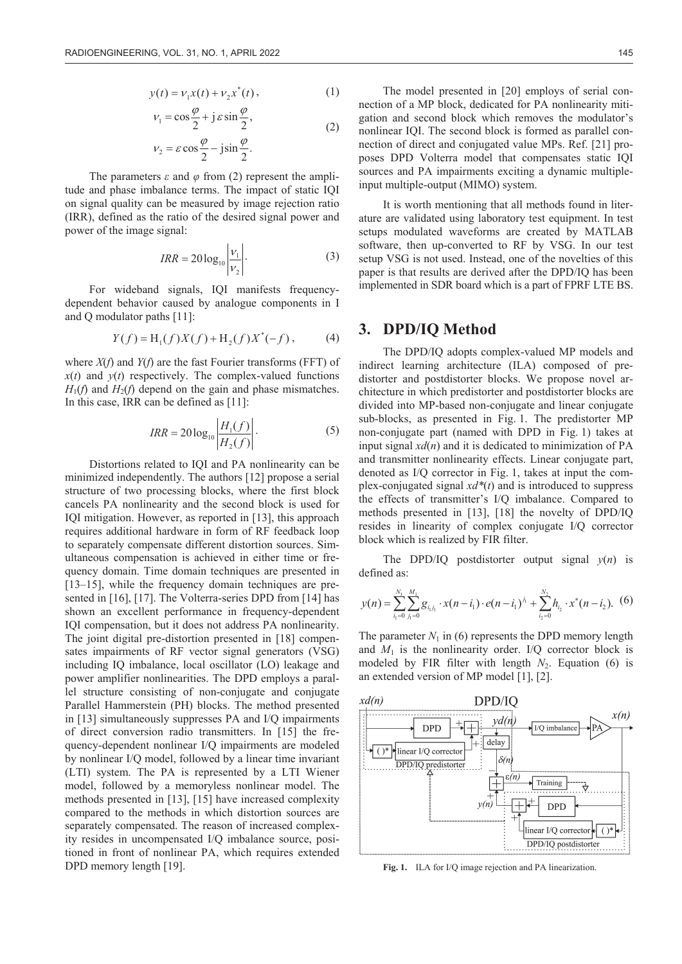$$
y(t) = v_1 x(t) + v_2 x^*(t),
$$
 (1)

$$
v_1 = \cos\frac{\varphi}{2} + j \varepsilon \sin\frac{\varphi}{2},
$$
  

$$
v_2 = \varepsilon \cos\frac{\varphi}{2} - j \sin\frac{\varphi}{2}.
$$
 (2)

The parameters  $\epsilon$  and  $\varphi$  from (2) represent the amplitude and phase imbalance terms. The impact of static IQI on signal quality can be measured by image rejection ratio (IRR), defined as the ratio of the desired signal power and power of the image signal:

$$
IRR = 20 \log_{10} \left| \frac{v_1}{v_2} \right| \tag{3}
$$

For wideband signals, IQI manifests frequencydependent behavior caused by analogue components in I and Q modulator paths [11]:

$$
Y(f) = H_1(f)X(f) + H_2(f)X^*(-f), \tag{4}
$$

where *X*(*f*) and *Y*(*f*) are the fast Fourier transforms (FFT) of  $x(t)$  and  $y(t)$  respectively. The complex-valued functions  $H_1(f)$  and  $H_2(f)$  depend on the gain and phase mismatches. In this case, IRR can be defined as [11]:

$$
IRR = 20 \log_{10} \left| \frac{H_1(f)}{H_2(f)} \right|.
$$
 (5)

Distortions related to IQI and PA nonlinearity can be minimized independently. The authors [12] propose a serial structure of two processing blocks, where the first block cancels PA nonlinearity and the second block is used for IQI mitigation. However, as reported in [13], this approach requires additional hardware in form of RF feedback loop to separately compensate different distortion sources. Simultaneous compensation is achieved in either time or frequency domain. Time domain techniques are presented in [13–15], while the frequency domain techniques are presented in [16], [17]. The Volterra-series DPD from [14] has shown an excellent performance in frequency-dependent IQI compensation, but it does not address PA nonlinearity. The joint digital pre-distortion presented in [18] compensates impairments of RF vector signal generators (VSG) including IQ imbalance, local oscillator (LO) leakage and power amplifier nonlinearities. The DPD employs a parallel structure consisting of non-conjugate and conjugate Parallel Hammerstein (PH) blocks. The method presented in [13] simultaneously suppresses PA and I/Q impairments of direct conversion radio transmitters. In [15] the frequency-dependent nonlinear I/Q impairments are modeled by nonlinear I/Q model, followed by a linear time invariant (LTI) system. The PA is represented by a LTI Wiener model, followed by a memoryless nonlinear model. The methods presented in [13], [15] have increased complexity compared to the methods in which distortion sources are separately compensated. The reason of increased complexity resides in uncompensated I/Q imbalance source, positioned in front of nonlinear PA, which requires extended DPD memory length [19].

The model presented in [20] employs of serial connection of a MP block, dedicated for PA nonlinearity mitigation and second block which removes the modulator's nonlinear IQI. The second block is formed as parallel connection of direct and conjugated value MPs. Ref. [21] proposes DPD Volterra model that compensates static IQI sources and PA impairments exciting a dynamic multipleinput multiple-output (MIMO) system.

It is worth mentioning that all methods found in literature are validated using laboratory test equipment. In test setups modulated waveforms are created by MATLAB software, then up-converted to RF by VSG. In our test setup VSG is not used. Instead, one of the novelties of this paper is that results are derived after the DPD/IQ has been implemented in SDR board which is a part of FPRF LTE BS.

#### **3. DPD/IQ Method**

The DPD/IQ adopts complex-valued MP models and indirect learning architecture (ILA) composed of predistorter and postdistorter blocks. We propose novel architecture in which predistorter and postdistorter blocks are divided into MP-based non-conjugate and linear conjugate sub-blocks, as presented in Fig. 1. The predistorter MP non-conjugate part (named with DPD in Fig. 1) takes at input signal  $xd(n)$  and it is dedicated to minimization of PA and transmitter nonlinearity effects. Linear conjugate part, denoted as I/Q corrector in Fig. 1, takes at input the complex-conjugated signal *xd\**(*t*) and is introduced to suppress the effects of transmitter's I/Q imbalance. Compared to methods presented in [13], [18] the novelty of DPD/IQ resides in linearity of complex conjugate I/Q corrector block which is realized by FIR filter.

The DPD/IQ postdistorter output signal  $v(n)$  is defined as:

$$
y(n) = \sum_{i_1=0}^{N_1} \sum_{j_1=0}^{M_1} g_{i_1j_1} \cdot x(n-i_1) \cdot e(n-i_1)^{j_1} + \sum_{i_2=0}^{N_2} h_{i_2} \cdot x^*(n-i_2). \tag{6}
$$

The parameter  $N_1$  in (6) represents the DPD memory length and  $M_1$  is the nonlinearity order. I/Q corrector block is modeled by FIR filter with length  $N_2$ . Equation (6) is an extended version of MP model [1], [2].



**Fig. 1.** ILA for I/Q image rejection and PA linearization.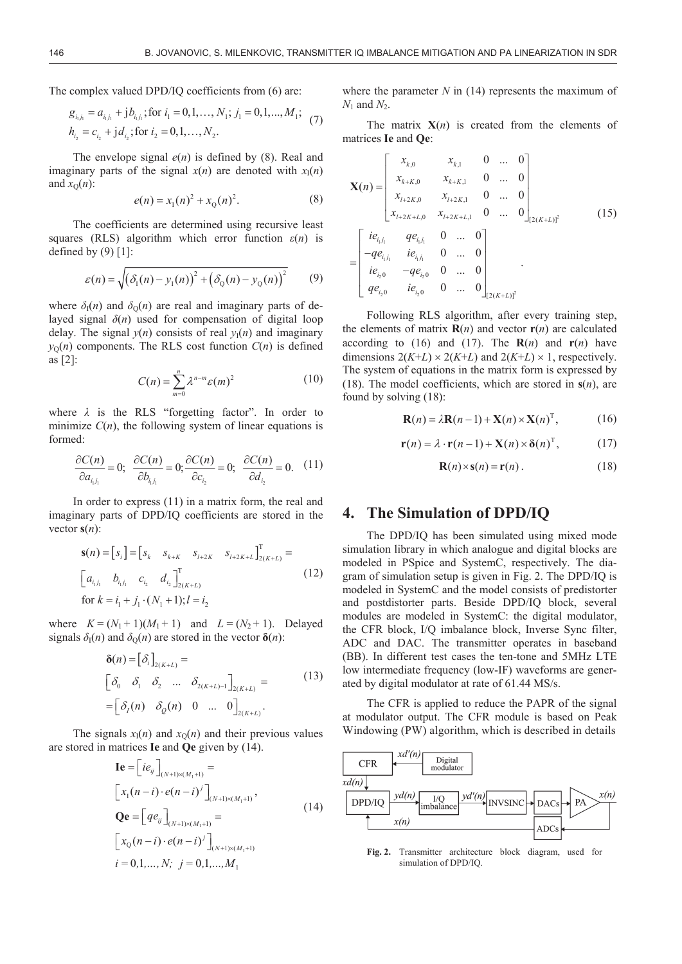The complex valued DPD/IQ coefficients from (6) are:

$$
g_{i_1j_1} = a_{i_1j_1} + jb_{i_1j_1}; \text{for } i_1 = 0, 1, ..., N_1; j_1 = 0, 1, ..., M_1; h_{i_2} = c_{i_2} + jd_{i_2}; \text{for } i_2 = 0, 1, ..., N_2.
$$
 (7)

The envelope signal  $e(n)$  is defined by (8). Real and imaginary parts of the signal  $x(n)$  are denoted with  $x<sub>1</sub>(n)$ and  $x_0(n)$ :

$$
e(n) = x_1(n)^2 + x_0(n)^2.
$$
 (8)

The coefficients are determined using recursive least squares (RLS) algorithm which error function  $\varepsilon(n)$  is defined by  $(9)$  [1]:

$$
\varepsilon(n) = \sqrt{\left(\delta_1(n) - y_1(n)\right)^2 + \left(\delta_0(n) - y_0(n)\right)^2} \tag{9}
$$

where  $\delta_{\rm I}(n)$  and  $\delta_{\rm O}(n)$  are real and imaginary parts of delayed signal  $\delta(n)$  used for compensation of digital loop delay. The signal  $y(n)$  consists of real  $y_1(n)$  and imaginary  $y<sub>O</sub>(n)$  components. The RLS cost function  $C(n)$  is defined as [2]:

$$
C(n) = \sum_{m=0}^{n} \lambda^{n-m} \varepsilon(m)^2
$$
 (10)

where  $\lambda$  is the RLS "forgetting factor". In order to minimize  $C(n)$ , the following system of linear equations is formed:

$$
\frac{\partial C(n)}{\partial a_{i,j_1}} = 0; \quad \frac{\partial C(n)}{\partial b_{i,j_1}} = 0; \frac{\partial C(n)}{\partial c_{i_2}} = 0; \quad \frac{\partial C(n)}{\partial d_{i_2}} = 0. \quad (11)
$$

In order to express (11) in a matrix form, the real and imaginary parts of DPD/IQ coefficients are stored in the vector  $s(n)$ :

$$
\mathbf{s}(n) = [s_i] = [s_k \quad s_{k+K} \quad s_{l+2K} \quad s_{l+2K+L}]_{2(K+L)}^{\mathrm{T}} =
$$
\n
$$
\begin{bmatrix} a_{i,j_1} & b_{i,j_1} & c_{i_2} & d_{i_2} \end{bmatrix}_{2(K+L)}^{\mathrm{T}} \quad (12)
$$
\n
$$
\text{for } k = i_1 + j_1 \cdot (N_1 + 1); l = i_2
$$

where  $K = (N_1 + 1)(M_1 + 1)$  and  $L = (N_2 + 1)$ . Delayed signals  $\delta_{\rm I}(n)$  and  $\delta_{\rm O}(n)$  are stored in the vector  $\delta(n)$ :

$$
\delta(n) = [\delta_i]_{2(K+L)} =
$$
\n
$$
[\delta_0 \quad \delta_1 \quad \delta_2 \quad \dots \quad \delta_{2(K+L)-1}]_{2(K+L)} =
$$
\n
$$
= [\delta_i(n) \quad \delta_0(n) \quad 0 \quad \dots \quad 0]_{2(K+L)}.
$$
\n(13)

The signals  $x_1(n)$  and  $x_0(n)$  and their previous values are stored in matrices **Ie** and **Qe** given by (14).

$$
\mathbf{I}\mathbf{e} = \left[ i e_{ij} \right]_{(N+1)\times(M_1+1)} =
$$
\n
$$
\left[ x_1(n-i) \cdot e(n-i)^j \right]_{(N+1)\times(M_1+1)},
$$
\n
$$
\mathbf{Q}\mathbf{e} = \left[ q e_{ij} \right]_{(N+1)\times(M_1+1)} =
$$
\n
$$
\left[ x_0(n-i) \cdot e(n-i)^j \right]_{(N+1)\times(M_1+1)}
$$
\n
$$
i = 0, 1, ..., N; \quad j = 0, 1, ..., M_1
$$
\n(14)

where the parameter  $N$  in (14) represents the maximum of  $N_1$  and  $N_2$ .

The matrix  $X(n)$  is created from the elements of matrices **Ie** and **Qe**:

$$
\mathbf{X}(n) = \begin{bmatrix} x_{k,0} & x_{k,1} & 0 & \dots & 0 \\ x_{k+K,0} & x_{k+K,1} & 0 & \dots & 0 \\ x_{l+2K,0} & x_{l+2K,1} & 0 & \dots & 0 \\ x_{l+2K+L,0} & x_{l+2K+L,1} & 0 & \dots & 0 \end{bmatrix}_{[2(K+L)]^2}
$$
(15)  

$$
= \begin{bmatrix} ie_{i_1j_1} & qe_{i_1j_1} & 0 & \dots & 0 \\ -qe_{i_1j_1} & ie_{i_1j_1} & 0 & \dots & 0 \\ ie_{i_20} & -qe_{i_20} & 0 & \dots & 0 \\ qe_{i_20} & ie_{i_20} & 0 & \dots & 0 \end{bmatrix}_{[2(K+L)]^2}
$$

Following RLS algorithm, after every training step, the elements of matrix  $\mathbf{R}(n)$  and vector  $\mathbf{r}(n)$  are calculated according to (16) and (17). The  $R(n)$  and  $r(n)$  have dimensions  $2(K+L) \times 2(K+L)$  and  $2(K+L) \times 1$ , respectively. The system of equations in the matrix form is expressed by (18). The model coefficients, which are stored in **s**(*n*), are found by solving (18):

$$
\mathbf{R}(n) = \lambda \mathbf{R}(n-1) + \mathbf{X}(n) \times \mathbf{X}(n)^{\mathrm{T}}, \quad (16)
$$

$$
\mathbf{r}(n) = \lambda \cdot \mathbf{r}(n-1) + \mathbf{X}(n) \times \delta(n)^{\mathrm{T}}, \quad (17)
$$

$$
\mathbf{R}(n) \times \mathbf{s}(n) = \mathbf{r}(n) \,. \tag{18}
$$

#### **4. The Simulation of DPD/IQ**

The DPD/IQ has been simulated using mixed mode simulation library in which analogue and digital blocks are modeled in PSpice and SystemC, respectively. The diagram of simulation setup is given in Fig. 2. The DPD/IQ is modeled in SystemC and the model consists of predistorter and postdistorter parts. Beside DPD/IQ block, several modules are modeled in SystemC: the digital modulator, the CFR block, I/Q imbalance block, Inverse Sync filter, ADC and DAC. The transmitter operates in baseband (BB). In different test cases the ten-tone and 5MHz LTE low intermediate frequency (low-IF) waveforms are generated by digital modulator at rate of 61.44 MS/s.

The CFR is applied to reduce the PAPR of the signal at modulator output. The CFR module is based on Peak Windowing (PW) algorithm, which is described in details



**Fig. 2.** Transmitter architecture block diagram, used for simulation of DPD/IQ.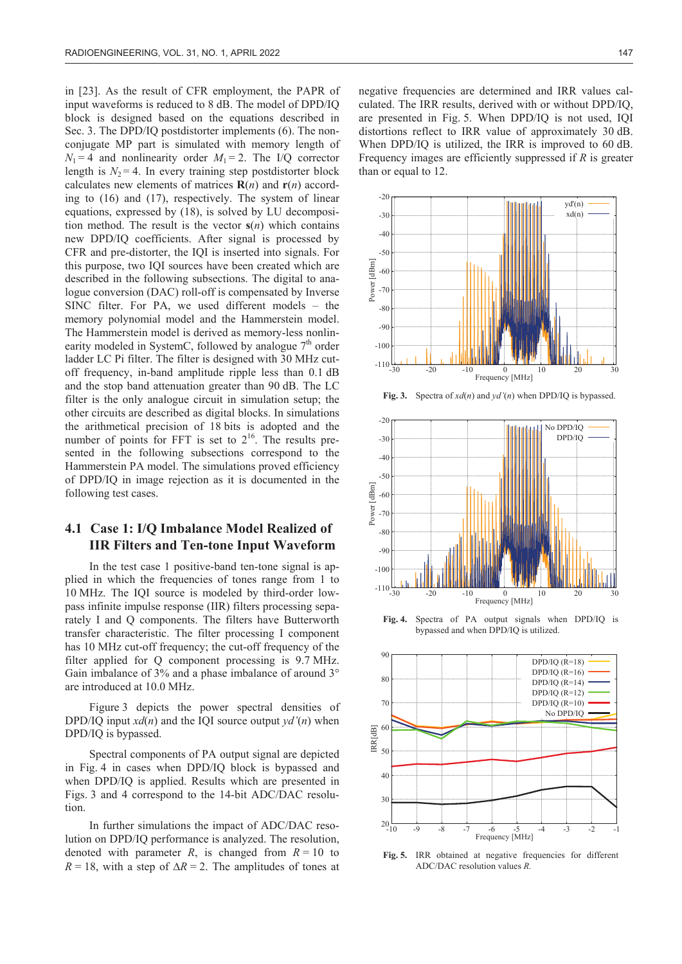in [23]. As the result of CFR employment, the PAPR of input waveforms is reduced to 8 dB. The model of DPD/IQ block is designed based on the equations described in Sec. 3. The DPD/IQ postdistorter implements (6). The nonconjugate MP part is simulated with memory length of  $N_1 = 4$  and nonlinearity order  $M_1 = 2$ . The I/Q corrector length is  $N_2 = 4$ . In every training step postdistorter block calculates new elements of matrices  $\mathbf{R}(n)$  and  $\mathbf{r}(n)$  according to (16) and (17), respectively. The system of linear equations, expressed by (18), is solved by LU decomposition method. The result is the vector **s**(*n*) which contains new DPD/IQ coefficients. After signal is processed by CFR and pre-distorter, the IQI is inserted into signals. For this purpose, two IQI sources have been created which are described in the following subsections. The digital to analogue conversion (DAC) roll-off is compensated by Inverse SINC filter. For PA, we used different models – the memory polynomial model and the Hammerstein model. The Hammerstein model is derived as memory-less nonlinearity modeled in SystemC, followed by analogue  $7<sup>th</sup>$  order ladder LC Pi filter. The filter is designed with 30 MHz cutoff frequency, in-band amplitude ripple less than 0.1 dB and the stop band attenuation greater than 90 dB. The LC filter is the only analogue circuit in simulation setup; the other circuits are described as digital blocks. In simulations the arithmetical precision of 18 bits is adopted and the number of points for FFT is set to  $2^{16}$ . The results presented in the following subsections correspond to the Hammerstein PA model. The simulations proved efficiency of DPD/IQ in image rejection as it is documented in the following test cases.

## **4.1 Case 1: I/Q Imbalance Model Realized of IIR Filters and Ten-tone Input Waveform**

In the test case 1 positive-band ten-tone signal is applied in which the frequencies of tones range from 1 to 10 MHz. The IQI source is modeled by third-order lowpass infinite impulse response (IIR) filters processing separately I and Q components. The filters have Butterworth transfer characteristic. The filter processing I component has 10 MHz cut-off frequency; the cut-off frequency of the filter applied for Q component processing is 9.7 MHz. Gain imbalance of 3% and a phase imbalance of around 3° are introduced at 10.0 MHz.

Figure 3 depicts the power spectral densities of DPD/IQ input  $xd(n)$  and the IQI source output  $vd'(n)$  when DPD/IQ is bypassed.

Spectral components of PA output signal are depicted in Fig. 4 in cases when DPD/IQ block is bypassed and when DPD/IQ is applied. Results which are presented in Figs. 3 and 4 correspond to the 14-bit ADC/DAC resolution.

In further simulations the impact of ADC/DAC resolution on DPD/IQ performance is analyzed. The resolution, denoted with parameter *R*, is changed from  $R = 10$  to  $R = 18$ , with a step of  $\Delta R = 2$ . The amplitudes of tones at negative frequencies are determined and IRR values calculated. The IRR results, derived with or without DPD/IQ, are presented in Fig. 5. When DPD/IQ is not used, IQI distortions reflect to IRR value of approximately 30 dB. When DPD/IQ is utilized, the IRR is improved to 60 dB. Frequency images are efficiently suppressed if *R* is greater than or equal to 12.



**Fig. 3.** Spectra of *xd*(*n*) and *yd'*(*n*) when DPD/IQ is bypassed.



**Fig. 4.** Spectra of PA output signals when DPD/IQ is bypassed and when DPD/IQ is utilized.



Fig. 5. IRR obtained at negative frequencies for different ADC/DAC resolution values *R.*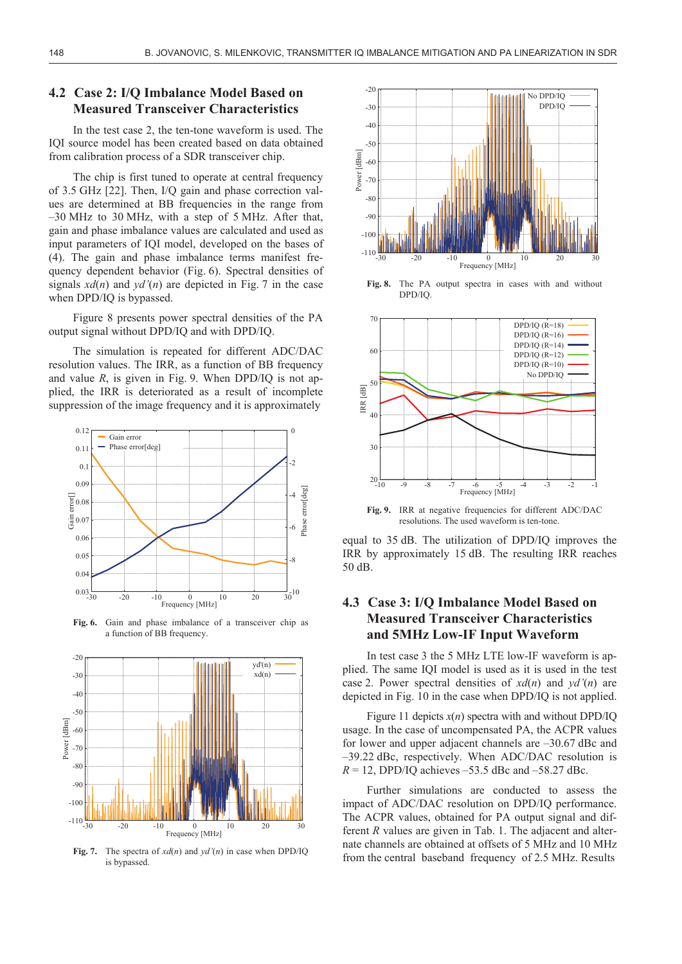#### **4.2 Case 2: I/Q Imbalance Model Based on Measured Transceiver Characteristics**

In the test case 2, the ten-tone waveform is used. The IQI source model has been created based on data obtained from calibration process of a SDR transceiver chip.

The chip is first tuned to operate at central frequency of 3.5 GHz [22]. Then, I/Q gain and phase correction values are determined at BB frequencies in the range from –30 MHz to 30 MHz, with a step of 5 MHz. After that, gain and phase imbalance values are calculated and used as input parameters of IQI model, developed on the bases of (4). The gain and phase imbalance terms manifest frequency dependent behavior (Fig. 6). Spectral densities of signals  $xd(n)$  and  $yd'(n)$  are depicted in Fig. 7 in the case when DPD/IQ is bypassed.

Figure 8 presents power spectral densities of the PA output signal without DPD/IQ and with DPD/IQ.

The simulation is repeated for different ADC/DAC resolution values. The IRR, as a function of BB frequency and value  $R$ , is given in Fig. 9. When DPD/IQ is not applied, the IRR is deteriorated as a result of incomplete suppression of the image frequency and it is approximately



**Fig. 6.** Gain and phase imbalance of a transceiver chip as a function of BB frequency.



**Fig. 7.** The spectra of *xd*(*n*) and *yd'*(*n*) in case when DPD/IQ is bypassed.



**Fig. 8.** The PA output spectra in cases with and without DPD/IQ.



Fig. 9. IRR at negative frequencies for different ADC/DAC resolutions. The used waveform is ten-tone.

equal to 35 dB. The utilization of DPD/IQ improves the IRR by approximately 15 dB. The resulting IRR reaches 50 dB.

# **4.3 Case 3: I/Q Imbalance Model Based on Measured Transceiver Characteristics and 5MHz Low-IF Input Waveform**

In test case 3 the 5 MHz LTE low-IF waveform is applied. The same IQI model is used as it is used in the test case 2. Power spectral densities of  $xd(n)$  and  $yd'(n)$  are depicted in Fig. 10 in the case when DPD/IQ is not applied.

Figure 11 depicts  $x(n)$  spectra with and without DPD/IQ usage. In the case of uncompensated PA, the ACPR values for lower and upper adjacent channels are –30.67 dBc and –39.22 dBc, respectively. When ADC/DAC resolution is  $R = 12$ , DPD/IQ achieves –53.5 dBc and –58.27 dBc.

Further simulations are conducted to assess the impact of ADC/DAC resolution on DPD/IQ performance. The ACPR values, obtained for PA output signal and different *R* values are given in Tab. 1. The adjacent and alternate channels are obtained at offsets of 5 MHz and 10 MHz from the central baseband frequency of 2.5 MHz. Results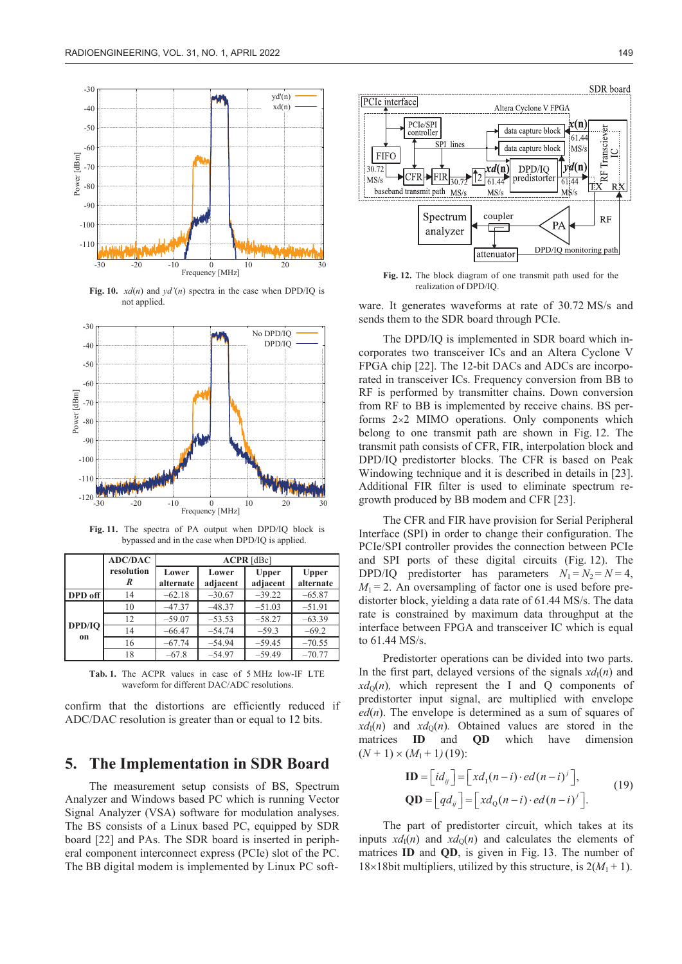

**Fig. 10.** *xd*(*n*) and *yd'*(*n*) spectra in the case when DPD/IQ is not applied.



**Fig. 11.** The spectra of PA output when DPD/IQ block is bypassed and in the case when DPD/IQ is applied.

|              | <b>ADC/DAC</b>  | $ACPR$ [dBc]       |                   |                          |                           |  |
|--------------|-----------------|--------------------|-------------------|--------------------------|---------------------------|--|
|              | resolution<br>R | Lower<br>alternate | Lower<br>adjacent | <b>Upper</b><br>adjacent | <b>Upper</b><br>alternate |  |
| DPD off      | 14              | $-62.18$           | $-30.67$          | $-39.22$                 | $-65.87$                  |  |
| DPD/IO<br>on | 10              | $-47.37$           | $-48.37$          | $-51.03$                 | $-51.91$                  |  |
|              | 12              | $-59.07$           | $-53.53$          | $-58.27$                 | $-63.39$                  |  |
|              | 14              | $-66.47$           | $-54.74$          | $-59.3$                  | $-69.2$                   |  |
|              | 16              | $-67.74$           | $-54.94$          | $-59.45$                 | $-70.55$                  |  |
|              | 18              | $-67.8$            | $-54.97$          | $-59.49$                 | $-70.77$                  |  |

**Tab. 1.** The ACPR values in case of 5 MHz low-IF LTE waveform for different DAC/ADC resolutions.

confirm that the distortions are efficiently reduced if ADC/DAC resolution is greater than or equal to 12 bits.

#### **5. The Implementation in SDR Board**

The measurement setup consists of BS, Spectrum Analyzer and Windows based PC which is running Vector Signal Analyzer (VSA) software for modulation analyses. The BS consists of a Linux based PC, equipped by SDR board [22] and PAs. The SDR board is inserted in peripheral component interconnect express (PCIe) slot of the PC. The BB digital modem is implemented by Linux PC soft-



**Fig. 12.** The block diagram of one transmit path used for the realization of DPD/IQ.

ware. It generates waveforms at rate of 30.72 MS/s and sends them to the SDR board through PCIe.

The DPD/IQ is implemented in SDR board which incorporates two transceiver ICs and an Altera Cyclone V FPGA chip [22]. The 12-bit DACs and ADCs are incorporated in transceiver ICs. Frequency conversion from BB to RF is performed by transmitter chains. Down conversion from RF to BB is implemented by receive chains. BS performs  $2\times2$  MIMO operations. Only components which belong to one transmit path are shown in Fig. 12. The transmit path consists of CFR, FIR, interpolation block and DPD/IQ predistorter blocks. The CFR is based on Peak Windowing technique and it is described in details in [23]. Additional FIR filter is used to eliminate spectrum regrowth produced by BB modem and CFR [23].

The CFR and FIR have provision for Serial Peripheral Interface (SPI) in order to change their configuration. The PCIe/SPI controller provides the connection between PCIe and SPI ports of these digital circuits (Fig. 12). The DPD/IQ predistorter has parameters  $N_1 = N_2 = N = 4$ ,  $M_1 = 2$ . An oversampling of factor one is used before predistorter block, yielding a data rate of 61.44 MS/s. The data rate is constrained by maximum data throughput at the interface between FPGA and transceiver IC which is equal to 61.44 MS/s.

Predistorter operations can be divided into two parts. In the first part, delayed versions of the signals  $xd_1(n)$  and  $xd<sub>0</sub>(n)$ , which represent the I and Q components of predistorter input signal, are multiplied with envelope *ed*(*n*). The envelope is determined as a sum of squares of  $xd_1(n)$  and  $xd_0(n)$ . Obtained values are stored in the matrices **ID** and **QD** which have dimension  $(N + 1) \times (M_1 + 1)$ (19):

$$
\mathbf{ID} = \begin{bmatrix} id_{ij} \end{bmatrix} = \begin{bmatrix} xd_1(n-i) \cdot ed(n-i)^j \end{bmatrix},
$$
  
\n
$$
\mathbf{QD} = \begin{bmatrix} qd_{ij} \end{bmatrix} = \begin{bmatrix} xd_0(n-i) \cdot ed(n-i)^j \end{bmatrix}.
$$
 (19)

The part of predistorter circuit, which takes at its inputs  $xd_1(n)$  and  $xd_0(n)$  and calculates the elements of matrices **ID** and **QD**, is given in Fig. 13. The number of 18×18bit multipliers, utilized by this structure, is  $2(M_1 + 1)$ .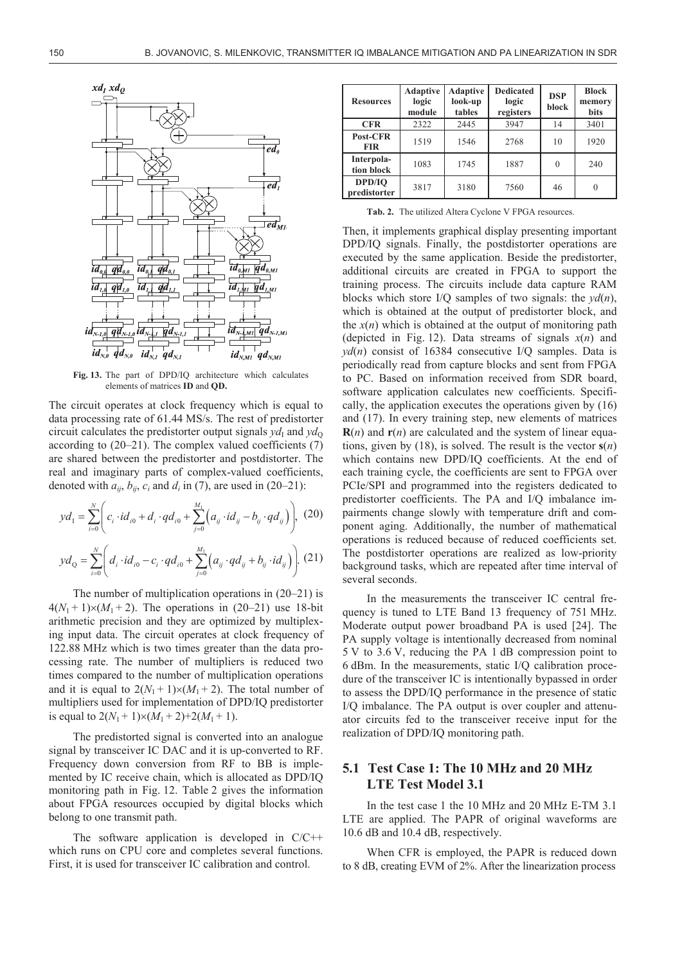

**Fig. 13.** The part of DPD/IQ architecture which calculates elements of matrices **ID** and **QD.**

The circuit operates at clock frequency which is equal to data processing rate of 61.44 MS/s. The rest of predistorter circuit calculates the predistorter output signals  $yd_1$  and  $yd_0$ according to  $(20-21)$ . The complex valued coefficients  $(7)$ are shared between the predistorter and postdistorter. The real and imaginary parts of complex-valued coefficients, denoted with  $a_{ij}$ ,  $b_{ij}$ ,  $c_i$  and  $d_i$  in (7), are used in (20–21):

$$
yd_{1} = \sum_{i=0}^{N} \left( c_{i} \cdot id_{i0} + d_{i} \cdot q d_{i0} + \sum_{j=0}^{M_{1}} \left( a_{ij} \cdot id_{ij} - b_{ij} \cdot q d_{ij} \right) \right), (20)
$$

$$
yd_{Q} = \sum_{i=0}^{N} \left( d_{i} \cdot id_{i0} - c_{i} \cdot q d_{i0} + \sum_{j=0}^{M_{1}} \left( a_{ij} \cdot q d_{ij} + b_{ij} \cdot id_{ij} \right) \right). (21)
$$

 $\overline{a}$ 

The number of multiplication operations in (20–21) is  $4(N_1 + 1) \times (M_1 + 2)$ . The operations in (20–21) use 18-bit arithmetic precision and they are optimized by multiplexing input data. The circuit operates at clock frequency of 122.88 MHz which is two times greater than the data processing rate. The number of multipliers is reduced two times compared to the number of multiplication operations and it is equal to  $2(N_1 + 1) \times (M_1 + 2)$ . The total number of multipliers used for implementation of DPD/IQ predistorter is equal to  $2(N_1 + 1) \times (M_1 + 2) + 2(M_1 + 1)$ .

The predistorted signal is converted into an analogue signal by transceiver IC DAC and it is up-converted to RF. Frequency down conversion from RF to BB is implemented by IC receive chain, which is allocated as DPD/IQ monitoring path in Fig. 12. Table 2 gives the information about FPGA resources occupied by digital blocks which belong to one transmit path.

The software application is developed in C/C++ which runs on CPU core and completes several functions. First, it is used for transceiver IC calibration and control.

| <b>Resources</b>         | <b>Adaptive</b><br>logic<br>module | <b>Adaptive</b><br>look-up<br>tables | <b>Dedicated</b><br>logic<br>registers | <b>DSP</b><br>block | <b>Block</b><br>memory<br>bits |
|--------------------------|------------------------------------|--------------------------------------|----------------------------------------|---------------------|--------------------------------|
| <b>CFR</b>               | 2322                               | 2445                                 | 3947                                   | 14                  | 3401                           |
| Post-CFR<br><b>FIR</b>   | 1519                               | 1546                                 | 2768                                   | 10                  | 1920                           |
| Interpola-<br>tion block | 1083                               | 1745                                 | 1887                                   | 0                   | 240                            |
| DPD/IO<br>predistorter   | 3817                               | 3180                                 | 7560                                   | 46                  |                                |

**Tab. 2.** The utilized Altera Cyclone V FPGA resources.

Then, it implements graphical display presenting important DPD/IQ signals. Finally, the postdistorter operations are executed by the same application. Beside the predistorter, additional circuits are created in FPGA to support the training process. The circuits include data capture RAM blocks which store I/Q samples of two signals: the *yd*(*n*), which is obtained at the output of predistorter block, and the  $x(n)$  which is obtained at the output of monitoring path (depicted in Fig. 12). Data streams of signals *x*(*n*) and *yd*(*n*) consist of 16384 consecutive I/Q samples. Data is periodically read from capture blocks and sent from FPGA to PC. Based on information received from SDR board, software application calculates new coefficients. Specifically, the application executes the operations given by (16) and (17). In every training step, new elements of matrices **R**(*n*) and **r**(*n*) are calculated and the system of linear equations, given by (18), is solved. The result is the vector  $s(n)$ which contains new DPD/IQ coefficients. At the end of each training cycle, the coefficients are sent to FPGA over PCIe/SPI and programmed into the registers dedicated to predistorter coefficients. The PA and I/Q imbalance impairments change slowly with temperature drift and component aging. Additionally, the number of mathematical operations is reduced because of reduced coefficients set. The postdistorter operations are realized as low-priority background tasks, which are repeated after time interval of several seconds.

In the measurements the transceiver IC central frequency is tuned to LTE Band 13 frequency of 751 MHz. Moderate output power broadband PA is used [24]. The PA supply voltage is intentionally decreased from nominal 5 V to 3.6 V, reducing the PA 1 dB compression point to 6 dBm. In the measurements, static I/Q calibration procedure of the transceiver IC is intentionally bypassed in order to assess the DPD/IQ performance in the presence of static I/Q imbalance. The PA output is over coupler and attenuator circuits fed to the transceiver receive input for the realization of DPD/IQ monitoring path.

#### **5.1 Test Case 1: The 10 MHz and 20 MHz LTE Test Model 3.1**

In the test case 1 the 10 MHz and 20 MHz E-TM 3.1 LTE are applied. The PAPR of original waveforms are 10.6 dB and 10.4 dB, respectively.

When CFR is employed, the PAPR is reduced down to 8 dB, creating EVM of 2%. After the linearization process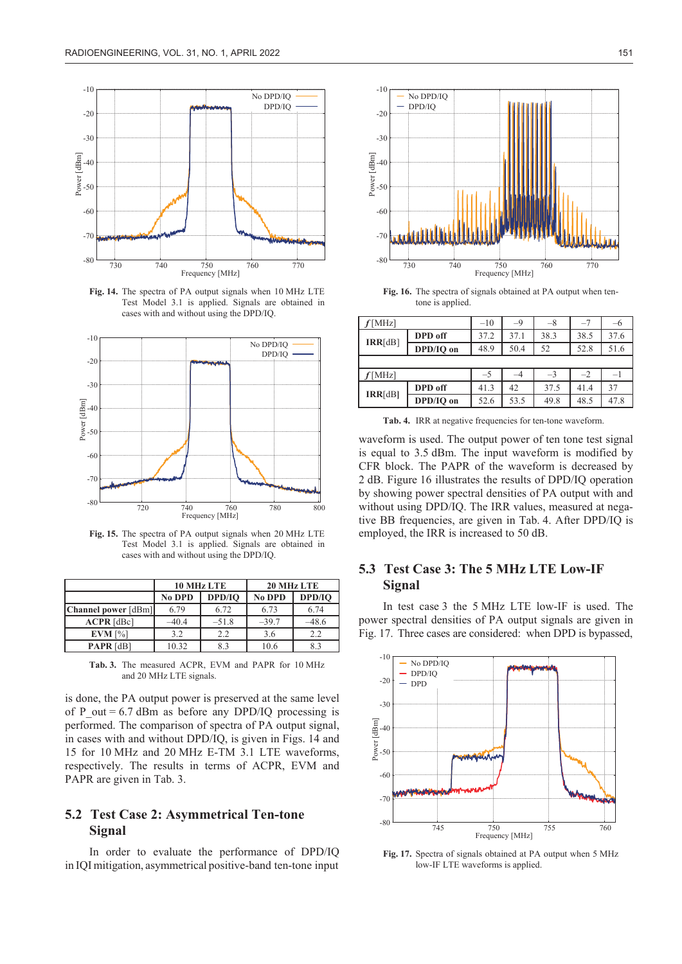

**Fig. 14.** The spectra of PA output signals when 10 MHz LTE Test Model 3.1 is applied. Signals are obtained in cases with and without using the DPD/IQ.



**Fig. 15.** The spectra of PA output signals when 20 MHz LTE Test Model 3.1 is applied. Signals are obtained in cases with and without using the DPD/IQ.

|                     |               | 10 MHz LTE | 20 MHz LTE    |         |  |
|---------------------|---------------|------------|---------------|---------|--|
|                     | <b>No DPD</b> | DPD/IO     | <b>No DPD</b> | DPD/IO  |  |
| Channel power [dBm] | 6.79          | 6.72       | 6.73          | 6.74    |  |
| $ACPR$ [dBc]        | $-40.4$       | $-51.8$    | $-39.7$       | $-48.6$ |  |
| $EVM$ [%]           | 3.2           | 2.2        | 3.6           | 2.2     |  |
| <b>PAPR</b> $[dB]$  | 10.32         | 8.3        | 10.6          | 83      |  |

**Tab. 3.** The measured ACPR, EVM and PAPR for 10 MHz and 20 MHz LTE signals.

is done, the PA output power is preserved at the same level of P out  $= 6.7$  dBm as before any DPD/IQ processing is performed. The comparison of spectra of PA output signal, in cases with and without DPD/IQ, is given in Figs. 14 and 15 for 10 MHz and 20 MHz E-TM 3.1 LTE waveforms, respectively. The results in terms of ACPR, EVM and PAPR are given in Tab. 3.

## **5.2 Test Case 2: Asymmetrical Ten-tone Signal**

In order to evaluate the performance of DPD/IQ in IQI mitigation, asymmetrical positive-band ten-tone input



**Fig. 16.** The spectra of signals obtained at PA output when tentone is applied.

| $\text{[MHz]}$ |           | $-10$ | -9   | $-8$ |      | $-6$ |
|----------------|-----------|-------|------|------|------|------|
|                | DPD off   | 37.2  | 37.1 | 38.3 | 38.5 | 37.6 |
| IRR[dB]        | DPD/IO on | 48.9  | 50.4 | 52   | 52.8 | 51.6 |
|                |           |       |      |      |      |      |
| [MHz]          |           | $-5$  |      | $-3$ | $-2$ | $-1$ |
| IRR[dB]        | DPD off   | 41.3  | 42   | 37.5 | 41.4 | 37   |
|                | DPD/IO on | 52.6  | 53.5 | 49.8 | 48.5 | 47.8 |

**Tab. 4.** IRR at negative frequencies for ten-tone waveform.

waveform is used. The output power of ten tone test signal is equal to 3.5 dBm. The input waveform is modified by CFR block. The PAPR of the waveform is decreased by 2 dB. Figure 16 illustrates the results of DPD/IQ operation by showing power spectral densities of PA output with and without using DPD/IQ. The IRR values, measured at negative BB frequencies, are given in Tab. 4. After DPD/IQ is employed, the IRR is increased to 50 dB.

# **5.3 Test Case 3: The 5 MHz LTE Low-IF Signal**

In test case 3 the 5 MHz LTE low-IF is used. The power spectral densities of PA output signals are given in Fig. 17. Three cases are considered: when DPD is bypassed,



**Fig. 17.** Spectra of signals obtained at PA output when 5 MHz low-IF LTE waveforms is applied.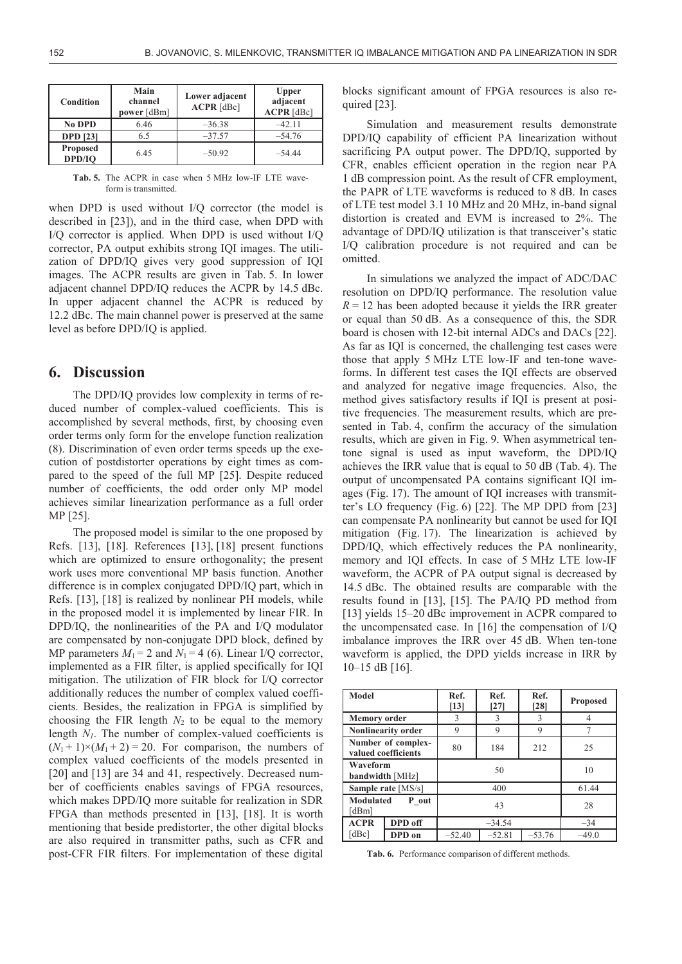| Condition                 | Main<br>channel<br>power [dBm] | Lower adjacent<br>$ACPR$ [dBc] | <b>Upper</b><br>adjacent<br>$ACPR$ [dBc] |
|---------------------------|--------------------------------|--------------------------------|------------------------------------------|
| <b>No DPD</b>             | 6.46                           | $-36.38$                       | $-42.11$                                 |
| <b>DPD</b> [23]           | 6.5                            | $-37.57$                       | $-54.76$                                 |
| <b>Proposed</b><br>DPD/IO | 6.45                           | $-50.92$                       | -54 44                                   |

**Tab. 5.** The ACPR in case when 5 MHz low-IF LTE waveform is transmitted.

when DPD is used without I/Q corrector (the model is described in [23]), and in the third case, when DPD with I/Q corrector is applied. When DPD is used without I/Q corrector, PA output exhibits strong IQI images. The utilization of DPD/IQ gives very good suppression of IQI images. The ACPR results are given in Tab. 5. In lower adjacent channel DPD/IQ reduces the ACPR by 14.5 dBc. In upper adjacent channel the ACPR is reduced by 12.2 dBc. The main channel power is preserved at the same level as before DPD/IQ is applied.

## **6. Discussion**

The DPD/IQ provides low complexity in terms of reduced number of complex-valued coefficients. This is accomplished by several methods, first, by choosing even order terms only form for the envelope function realization (8). Discrimination of even order terms speeds up the execution of postdistorter operations by eight times as compared to the speed of the full MP [25]. Despite reduced number of coefficients, the odd order only MP model achieves similar linearization performance as a full order MP [25].

The proposed model is similar to the one proposed by Refs. [13], [18]. References [13], [18] present functions which are optimized to ensure orthogonality; the present work uses more conventional MP basis function. Another difference is in complex conjugated DPD/IQ part, which in Refs. [13], [18] is realized by nonlinear PH models, while in the proposed model it is implemented by linear FIR. In DPD/IQ, the nonlinearities of the PA and I/Q modulator are compensated by non-conjugate DPD block, defined by MP parameters  $M_1 = 2$  and  $N_1 = 4$  (6). Linear I/Q corrector, implemented as a FIR filter, is applied specifically for IQI mitigation. The utilization of FIR block for I/Q corrector additionally reduces the number of complex valued coefficients. Besides, the realization in FPGA is simplified by choosing the FIR length  $N_2$  to be equal to the memory length  $N_l$ . The number of complex-valued coefficients is  $(N_1 + 1) \times (M_1 + 2) = 20$ . For comparison, the numbers of complex valued coefficients of the models presented in [20] and [13] are 34 and 41, respectively. Decreased number of coefficients enables savings of FPGA resources, which makes DPD/IQ more suitable for realization in SDR FPGA than methods presented in [13], [18]. It is worth mentioning that beside predistorter, the other digital blocks are also required in transmitter paths, such as CFR and post-CFR FIR filters. For implementation of these digital

blocks significant amount of FPGA resources is also required [23].

Simulation and measurement results demonstrate DPD/IQ capability of efficient PA linearization without sacrificing PA output power. The DPD/IQ, supported by CFR, enables efficient operation in the region near PA 1 dB compression point. As the result of CFR employment, the PAPR of LTE waveforms is reduced to 8 dB. In cases of LTE test model 3.1 10 MHz and 20 MHz, in-band signal distortion is created and EVM is increased to 2%. The advantage of DPD/IQ utilization is that transceiver's static I/Q calibration procedure is not required and can be omitted.

In simulations we analyzed the impact of ADC/DAC resolution on DPD/IQ performance. The resolution value  $R = 12$  has been adopted because it yields the IRR greater or equal than 50 dB. As a consequence of this, the SDR board is chosen with 12-bit internal ADCs and DACs [22]. As far as IQI is concerned, the challenging test cases were those that apply 5 MHz LTE low-IF and ten-tone waveforms. In different test cases the IQI effects are observed and analyzed for negative image frequencies. Also, the method gives satisfactory results if IQI is present at positive frequencies. The measurement results, which are presented in Tab. 4, confirm the accuracy of the simulation results, which are given in Fig. 9. When asymmetrical tentone signal is used as input waveform, the DPD/IQ achieves the IRR value that is equal to 50 dB (Tab. 4). The output of uncompensated PA contains significant IQI images (Fig. 17). The amount of IQI increases with transmitter's LO frequency (Fig. 6) [22]. The MP DPD from [23] can compensate PA nonlinearity but cannot be used for IQI mitigation (Fig. 17). The linearization is achieved by DPD/IQ, which effectively reduces the PA nonlinearity, memory and IQI effects. In case of 5 MHz LTE low-IF waveform, the ACPR of PA output signal is decreased by 14.5 dBc. The obtained results are comparable with the results found in [13], [15]. The PA/IQ PD method from [13] yields 15–20 dBc improvement in ACPR compared to the uncompensated case. In [16] the compensation of I/Q imbalance improves the IRR over 45 dB. When ten-tone waveform is applied, the DPD yields increase in IRR by 10–15 dB [16].

| <b>Model</b>                              |                           | Ref.<br>$[13]$ | Ref.<br>$[27]$ | Ref.<br>[28] | <b>Proposed</b> |
|-------------------------------------------|---------------------------|----------------|----------------|--------------|-----------------|
| <b>Memory order</b>                       |                           | 3              | 3              | 3            |                 |
|                                           | <b>Nonlinearity order</b> | 9              | 9              | 9            | 7               |
| Number of complex-<br>valued coefficients |                           | 80             | 184            | 212          | 25              |
| Waveform<br>bandwidth [MHz]               |                           | 50             |                |              | 10              |
| Sample rate [MS/s]                        |                           | 400            |                |              | 61.44           |
| <b>Modulated</b><br>P out<br>[dBm]        |                           |                | 28             |              |                 |
| <b>ACPR</b>                               | DPD off                   | $-34.54$       |                |              | $-34$           |
| [dBc]                                     | DPD on                    | $-52.40$       | $-52.81$       | $-53.76$     | $-49.0$         |

**Tab. 6.** Performance comparison of different methods.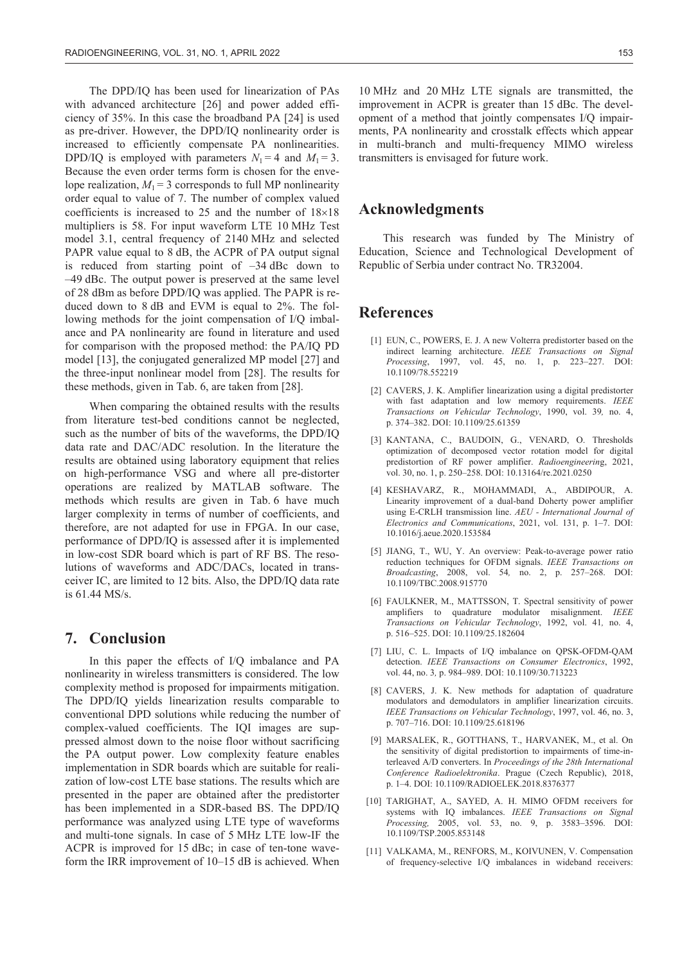The DPD/IQ has been used for linearization of PAs with advanced architecture [26] and power added efficiency of 35%. In this case the broadband PA [24] is used as pre-driver. However, the DPD/IQ nonlinearity order is increased to efficiently compensate PA nonlinearities. DPD/IQ is employed with parameters  $N_1 = 4$  and  $M_1 = 3$ . Because the even order terms form is chosen for the envelope realization,  $M_1 = 3$  corresponds to full MP nonlinearity order equal to value of 7. The number of complex valued coefficients is increased to 25 and the number of  $18\times18$ multipliers is 58. For input waveform LTE 10 MHz Test model 3.1, central frequency of 2140 MHz and selected PAPR value equal to 8 dB, the ACPR of PA output signal is reduced from starting point of  $-34$  dBc down to –49 dBc. The output power is preserved at the same level of 28 dBm as before DPD/IQ was applied. The PAPR is reduced down to 8 dB and EVM is equal to 2%. The following methods for the joint compensation of I/Q imbalance and PA nonlinearity are found in literature and used for comparison with the proposed method: the PA/IQ PD model [13], the conjugated generalized MP model [27] and the three-input nonlinear model from [28]. The results for these methods, given in Tab. 6, are taken from [28].

When comparing the obtained results with the results from literature test-bed conditions cannot be neglected, such as the number of bits of the waveforms, the DPD/IQ data rate and DAC/ADC resolution. In the literature the results are obtained using laboratory equipment that relies on high-performance VSG and where all pre-distorter operations are realized by MATLAB software. The methods which results are given in Tab. 6 have much larger complexity in terms of number of coefficients, and therefore, are not adapted for use in FPGA. In our case, performance of DPD/IQ is assessed after it is implemented in low-cost SDR board which is part of RF BS. The resolutions of waveforms and ADC/DACs, located in transceiver IC, are limited to 12 bits. Also, the DPD/IQ data rate is 61.44 MS/s.

#### **7. Conclusion**

In this paper the effects of I/Q imbalance and PA nonlinearity in wireless transmitters is considered. The low complexity method is proposed for impairments mitigation. The DPD/IQ yields linearization results comparable to conventional DPD solutions while reducing the number of complex-valued coefficients. The IQI images are suppressed almost down to the noise floor without sacrificing the PA output power. Low complexity feature enables implementation in SDR boards which are suitable for realization of low-cost LTE base stations. The results which are presented in the paper are obtained after the predistorter has been implemented in a SDR-based BS. The DPD/IQ performance was analyzed using LTE type of waveforms and multi-tone signals. In case of 5 MHz LTE low-IF the ACPR is improved for 15 dBc; in case of ten-tone waveform the IRR improvement of 10–15 dB is achieved. When 10 MHz and 20 MHz LTE signals are transmitted, the improvement in ACPR is greater than 15 dBc. The development of a method that jointly compensates I/Q impairments, PA nonlinearity and crosstalk effects which appear in multi-branch and multi-frequency MIMO wireless transmitters is envisaged for future work.

### **Acknowledgments**

This research was funded by The Ministry of Education, Science and Technological Development of Republic of Serbia under contract No. TR32004.

#### **References**

- [1] EUN, C., POWERS, E. J. A new Volterra predistorter based on the indirect learning architecture. *IEEE Transactions on Signal Processing*, 1997, vol. 45, no. 1, p. 223–227. DOI: 10.1109/78.552219
- [2] CAVERS, J. K. Amplifier linearization using a digital predistorter with fast adaptation and low memory requirements. *IEEE Transactions on Vehicular Technology*, 1990, vol. 39*,* no. 4, p. 374–382. DOI: 10.1109/25.61359
- [3] KANTANA, C., BAUDOIN, G., VENARD, O. Thresholds optimization of decomposed vector rotation model for digital predistortion of RF power amplifier. *Radioengineerin*g, 2021, vol. 30, no. 1, p. 250–258. DOI: 10.13164/re.2021.0250
- [4] KESHAVARZ, R., MOHAMMADI, A., ABDIPOUR, A. Linearity improvement of a dual-band Doherty power amplifier using E-CRLH transmission line. *AEU - International Journal of Electronics and Communications*, 2021, vol. 131, p. 1–7. DOI: 10.1016/j.aeue.2020.153584
- [5] JIANG, T., WU, Y. An overview: Peak-to-average power ratio reduction techniques for OFDM signals. *IEEE Transactions on Broadcasting*, 2008, vol. 54*,* no. 2, p. 257–268. DOI: 10.1109/TBC.2008.915770
- [6] FAULKNER, M., MATTSSON, T. Spectral sensitivity of power amplifiers to quadrature modulator misalignment. *IEEE Transactions on Vehicular Technology*, 1992, vol. 41*,* no. 4, p. 516–525. DOI: 10.1109/25.182604
- [7] LIU, C. L. Impacts of I/Q imbalance on QPSK-OFDM-QAM detection. *IEEE Transactions on Consumer Electronics*, 1992, vol. 44, no. 3*,* p. 984–989. DOI: 10.1109/30.713223
- [8] CAVERS, J. K. New methods for adaptation of quadrature modulators and demodulators in amplifier linearization circuits. *IEEE Transactions on Vehicular Technology*, 1997, vol. 46, no. 3, p. 707–716. DOI: 10.1109/25.618196
- [9] MARSALEK, R., GOTTHANS, T., HARVANEK, M., et al. On the sensitivity of digital predistortion to impairments of time-interleaved A/D converters. In *Proceedings of the 28th International Conference Radioelektronika*. Prague (Czech Republic), 2018, p. 1–4. DOI: 10.1109/RADIOELEK.2018.8376377
- [10] TARIGHAT, A., SAYED, A. H. MIMO OFDM receivers for systems with IQ imbalances. *IEEE Transactions on Signal Processing,* 2005, vol. 53, no. 9, p. 3583–3596. DOI: 10.1109/TSP.2005.853148
- [11] VALKAMA, M., RENFORS, M., KOIVUNEN, V. Compensation of frequency-selective I/Q imbalances in wideband receivers: